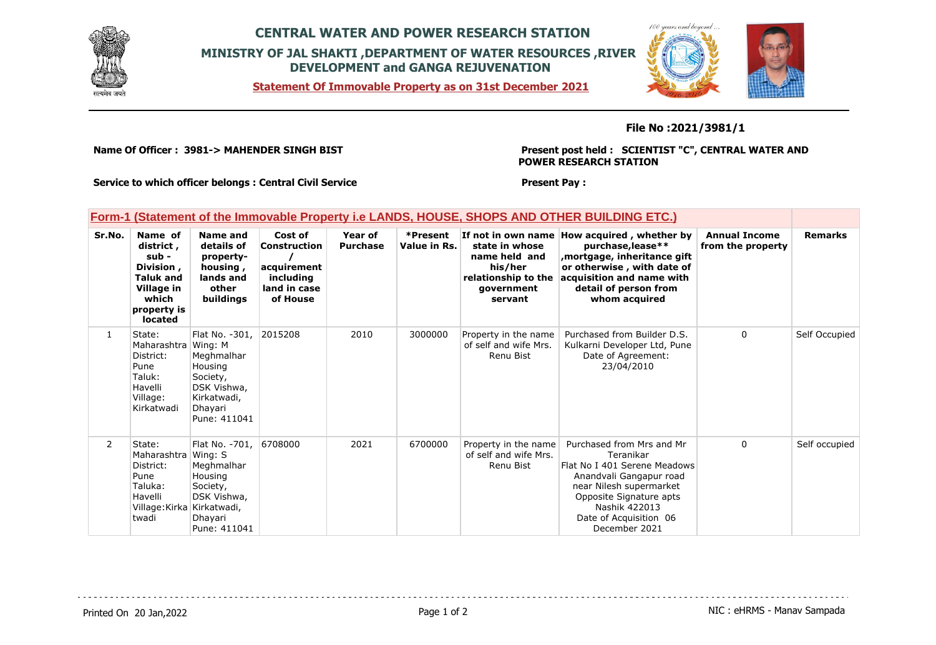

## **CENTRAL WATER AND POWER RESEARCH STATION MINISTRY OF JAL SHAKTI ,DEPARTMENT OF WATER RESOURCES ,RIVER DEVELOPMENT and GANGA REJUVENATION**

**Statement Of Immovable Property as on 31st December 2021**



### **File No :2021/3981/1**

**Name Of Officer : 3981-> MAHENDER SINGH BIST** 

**Present post held : SCIENTIST "C", CENTRAL WATER AND POWER RESEARCH STATION**

 $100$ 

**Present Pay :** 

**Service to which officer belongs : Central Civil Service**

### **Form-1 (Statement of the Immovable Property i.e LANDS, HOUSE, SHOPS AND OTHER BUILDING ETC.)**

| Sr.No.         | Name of<br>district,<br>$sub -$<br>Division,<br><b>Taluk and</b><br>Village in<br>which<br>property is<br>located | Name and<br>details of<br>property-<br>housing,<br>lands and<br>other<br>buildings                                      | Cost of<br>Construction<br>acquirement<br>includina<br>land in case<br>of House | Year of<br><b>Purchase</b> | *Present<br>Value in Rs. | If not in own name<br>state in whose<br>name held and<br>his/her<br>relationship to the<br>government<br>servant | How acquired, whether by<br>purchase, lease**<br>mortgage, inheritance gift,<br>or otherwise, with date of<br>acquisition and name with<br>detail of person from<br>whom acquired                                   | <b>Annual Income</b><br>from the property | <b>Remarks</b> |
|----------------|-------------------------------------------------------------------------------------------------------------------|-------------------------------------------------------------------------------------------------------------------------|---------------------------------------------------------------------------------|----------------------------|--------------------------|------------------------------------------------------------------------------------------------------------------|---------------------------------------------------------------------------------------------------------------------------------------------------------------------------------------------------------------------|-------------------------------------------|----------------|
| $\mathbf{1}$   | State:<br>Maharashtra I<br>District:<br>Pune<br>Taluk:<br>Havelli<br>Village:<br>Kirkatwadi                       | Flat No. -301,<br>Wing: M<br>Meghmalhar<br>Housing<br>Society,<br>DSK Vishwa,<br>Kirkatwadi,<br>Dhayari<br>Pune: 411041 | 2015208                                                                         | 2010                       | 3000000                  | Property in the name<br>of self and wife Mrs.<br>Renu Bist                                                       | Purchased from Builder D.S.<br>Kulkarni Developer Ltd, Pune<br>Date of Agreement:<br>23/04/2010                                                                                                                     | $\mathbf{0}$                              | Self Occupied  |
| $\overline{2}$ | State:<br>Maharashtra Wing: S<br>District:<br>Pune<br>Taluka:<br>Havelli<br>Village:Kirka<br>twadi                | Flat No. -701,<br>Meghmalhar<br>Housing<br>Society,<br>DSK Vishwa,<br>Kirkatwadi,<br>Dhayari<br>Pune: 411041            | 6708000                                                                         | 2021                       | 6700000                  | Property in the name<br>of self and wife Mrs.<br>Renu Bist                                                       | Purchased from Mrs and Mr<br>Teranikar<br>Flat No I 401 Serene Meadows<br>Anandvali Gangapur road<br>near Nilesh supermarket<br>Opposite Signature apts<br>Nashik 422013<br>Date of Acquisition 06<br>December 2021 | $\Omega$                                  | Self occupied  |

Printed On 20 Jan, 2022 **Page 1 of 2** Page 1 of 2 **Page 1 of 2** NIC : eHRMS - Manav Sampada